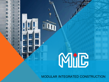

**MODULAR INTEGRATED CONSTRUCTION**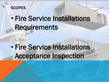## **SCOPES**

# • Fire Service Installations Requirements

# • Fire Service Installations Acceptance Inspection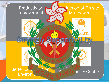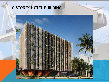# 10-STOREY HOTEL BUILDING

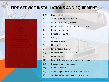# FIRE SERVICE INSTALLATIONS AND EQUIPMENT



| 4.28 | Hotels - high rise                            |
|------|-----------------------------------------------|
| 1)   | Audio/visual advisory system                  |
| (2)  | Automatic actuating devices                   |
| 3)   | Automatic fixed installation other than water |
| 4)   | Emergency generator                           |
| 5)   | <b>Emergency lighting</b>                     |
| 6)   | Exit sign                                     |
| 7)   | Fire alarm system                             |
| 8)   | Fire control centre                           |
| 9)   | Fire detection system                         |
| 10)  | Fire hydrant/hose reel system                 |
| 11)  | Fireman's lift                                |
| 12)  | Portable hand-operated approved appliance     |
| 13)  | Pressurization of staircase                   |
| 14)  | Sprinkler system                              |
| 15)  | Static or dynamic smoke extraction system     |
| 16)  | Ventilation/air conditioning control system   |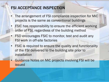### FSI ACCEPTANCE INSPECTION

- The arrangement of FSI compliance inspection for MiC projects is the same as conventional buildings
- FSIC has responsibility to ensure the efficient working order of FSI, regardless of the building method
- FSD encourages FSIC to monitor, test and audit any FSI work in off-site factories
- FSIC is required to ensure the quality and functionality of the FSI delivered to the building site prior to installation
- Guidance Notes on MiC projects involving FSI will be issued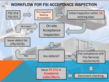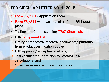### FSD CIRCULAR LETTER NO. 1/2015

- Form FSI/501 Application Form
- **Form FSI/314 with two sets of as-fitted FSI layout** plans
- Testing and Commissioning (T&C) Checklists
- **FSIs Equipment List**
- 1. Listing certificates/ records/ documents/ printouts from product certification bodies;
- 2. FSD approval/ acceptance letters;
- 3. Test certificates/ data sheets/ catalogues/ calculations; and
- 4. Other necessary technical information.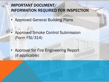# IMPORTANT DOCUMENT/ INFORMATION REQUIRED FOR INSPECTION

- Approved General Building Plans
- Approved Smoke Control Submission (Form FSI/314)
- Approval for Fire Engineering Report (if applicable)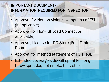# IMPORTANT DOCUMENT/ INFORMATION REQUIRED FOR INSPECTION

- Approval for Non-provision/exemptions of FSI (if applicable)
- Approval for Non-FSI Load Connection (if applicable)
- Approval/License for DG Store (Fuel Tank Room)
- Approval for method statement of FSIs (e.g.
- **Extended coverage sidewall sprinkler, long** throw sprinkler, hot smoke test, etc.)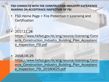#### FSD CONNECTS WITH THE CONSTRUCTION INDUSTRY EXPERIENCE SHARING ON ACCEPTANCE INSPECTION OF FSI

- FSD Home Page > Fire Protection > Licensing and **Certification**
- 2017.11.24

https://www.hkfsd.gov.hk/eng/source/licensing/Conn ects\_Construction\_Industry\_Building\_Plan\_Acceptanc e\_Inspection\_FSI.pdf

• 2018.06.25

https://www.hkfsd.gov.hk/eng/source/licensing/Conn ects\_Construction\_Industry\_Building\_Plan\_Acceptanc e\_Inspection\_FSI\_20180625.pdf